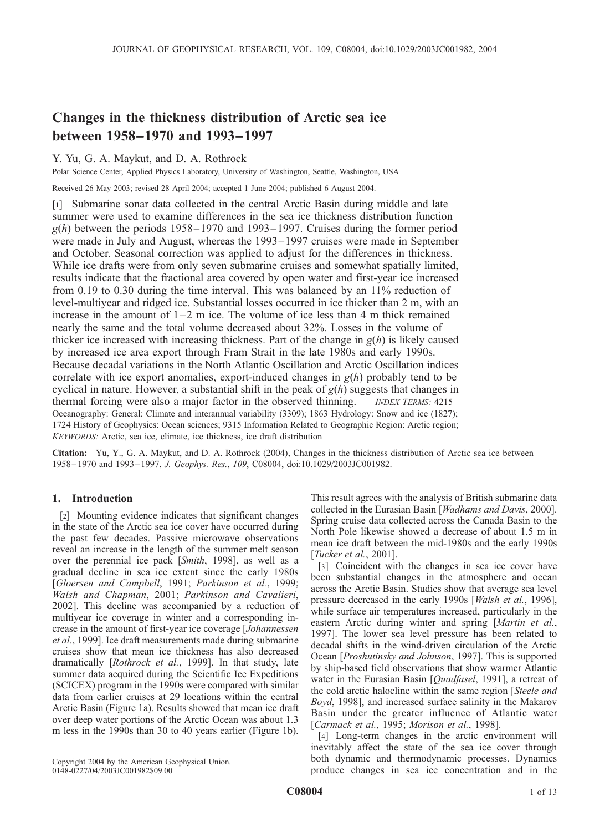# Changes in the thickness distribution of Arctic sea ice between 1958–1970 and 1993–1997

# Y. Yu, G. A. Maykut, and D. A. Rothrock

Polar Science Center, Applied Physics Laboratory, University of Washington, Seattle, Washington, USA

Received 26 May 2003; revised 28 April 2004; accepted 1 June 2004; published 6 August 2004.

[1] Submarine sonar data collected in the central Arctic Basin during middle and late summer were used to examine differences in the sea ice thickness distribution function  $g(h)$  between the periods 1958–1970 and 1993–1997. Cruises during the former period were made in July and August, whereas the 1993–1997 cruises were made in September and October. Seasonal correction was applied to adjust for the differences in thickness. While ice drafts were from only seven submarine cruises and somewhat spatially limited, results indicate that the fractional area covered by open water and first-year ice increased from 0.19 to 0.30 during the time interval. This was balanced by an 11% reduction of level-multiyear and ridged ice. Substantial losses occurred in ice thicker than 2 m, with an increase in the amount of  $1-2$  m ice. The volume of ice less than 4 m thick remained nearly the same and the total volume decreased about 32%. Losses in the volume of thicker ice increased with increasing thickness. Part of the change in  $g(h)$  is likely caused by increased ice area export through Fram Strait in the late 1980s and early 1990s. Because decadal variations in the North Atlantic Oscillation and Arctic Oscillation indices correlate with ice export anomalies, export-induced changes in  $g(h)$  probably tend to be cyclical in nature. However, a substantial shift in the peak of  $g(h)$  suggests that changes in thermal forcing were also a major factor in the observed thinning. *INDEX TERMS:* 4215 Oceanography: General: Climate and interannual variability (3309); 1863 Hydrology: Snow and ice (1827); 1724 History of Geophysics: Ocean sciences; 9315 Information Related to Geographic Region: Arctic region; KEYWORDS: Arctic, sea ice, climate, ice thickness, ice draft distribution

Citation: Yu, Y., G. A. Maykut, and D. A. Rothrock (2004), Changes in the thickness distribution of Arctic sea ice between 1958–1970 and 1993–1997, J. Geophys. Res., 109, C08004, doi:10.1029/2003JC001982.

# 1. Introduction

[2] Mounting evidence indicates that significant changes in the state of the Arctic sea ice cover have occurred during the past few decades. Passive microwave observations reveal an increase in the length of the summer melt season over the perennial ice pack [Smith, 1998], as well as a gradual decline in sea ice extent since the early 1980s [Gloersen and Campbell, 1991; Parkinson et al., 1999; Walsh and Chapman, 2001; Parkinson and Cavalieri, 2002]. This decline was accompanied by a reduction of multiyear ice coverage in winter and a corresponding increase in the amount of first-year ice coverage [Johannessen et al., 1999]. Ice draft measurements made during submarine cruises show that mean ice thickness has also decreased dramatically [Rothrock et al., 1999]. In that study, late summer data acquired during the Scientific Ice Expeditions (SCICEX) program in the 1990s were compared with similar data from earlier cruises at 29 locations within the central Arctic Basin (Figure 1a). Results showed that mean ice draft over deep water portions of the Arctic Ocean was about 1.3 m less in the 1990s than 30 to 40 years earlier (Figure 1b).

This result agrees with the analysis of British submarine data collected in the Eurasian Basin [Wadhams and Davis, 2000]. Spring cruise data collected across the Canada Basin to the North Pole likewise showed a decrease of about 1.5 m in mean ice draft between the mid-1980s and the early 1990s [Tucker et al., 2001].

[3] Coincident with the changes in sea ice cover have been substantial changes in the atmosphere and ocean across the Arctic Basin. Studies show that average sea level pressure decreased in the early 1990s [Walsh et al., 1996], while surface air temperatures increased, particularly in the eastern Arctic during winter and spring [Martin et al., 1997]. The lower sea level pressure has been related to decadal shifts in the wind-driven circulation of the Arctic Ocean [Proshutinsky and Johnson, 1997]. This is supported by ship-based field observations that show warmer Atlantic water in the Eurasian Basin [Quadfasel, 1991], a retreat of the cold arctic halocline within the same region [Steele and Boyd, 1998], and increased surface salinity in the Makarov Basin under the greater influence of Atlantic water [Carmack et al., 1995; Morison et al., 1998].

[4] Long-term changes in the arctic environment will inevitably affect the state of the sea ice cover through both dynamic and thermodynamic processes. Dynamics produce changes in sea ice concentration and in the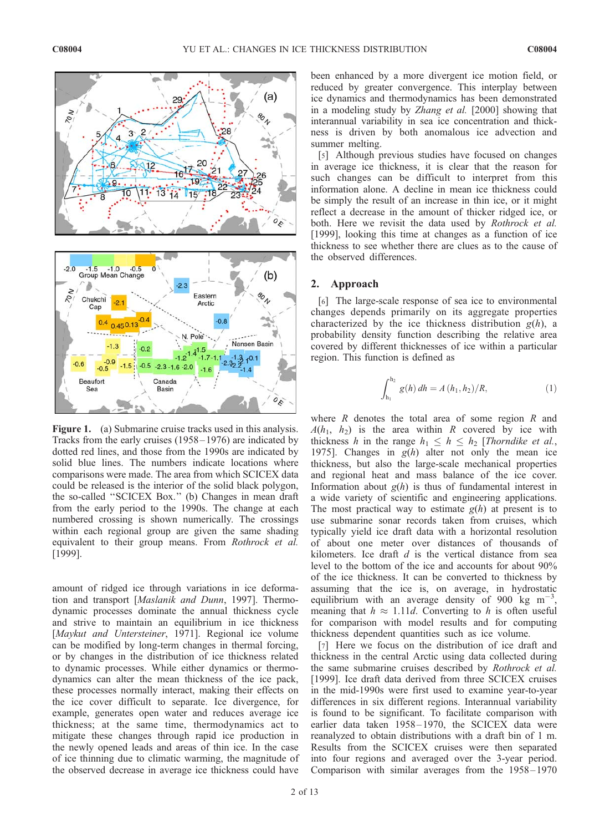

Figure 1. (a) Submarine cruise tracks used in this analysis. Tracks from the early cruises (1958 – 1976) are indicated by dotted red lines, and those from the 1990s are indicated by solid blue lines. The numbers indicate locations where comparisons were made. The area from which SCICEX data could be released is the interior of the solid black polygon, the so-called ''SCICEX Box.'' (b) Changes in mean draft from the early period to the 1990s. The change at each numbered crossing is shown numerically. The crossings within each regional group are given the same shading equivalent to their group means. From Rothrock et al. [1999].

amount of ridged ice through variations in ice deformation and transport [Maslanik and Dunn, 1997]. Thermodynamic processes dominate the annual thickness cycle and strive to maintain an equilibrium in ice thickness [Maykut and Untersteiner, 1971]. Regional ice volume can be modified by long-term changes in thermal forcing, or by changes in the distribution of ice thickness related to dynamic processes. While either dynamics or thermodynamics can alter the mean thickness of the ice pack, these processes normally interact, making their effects on the ice cover difficult to separate. Ice divergence, for example, generates open water and reduces average ice thickness; at the same time, thermodynamics act to mitigate these changes through rapid ice production in the newly opened leads and areas of thin ice. In the case of ice thinning due to climatic warming, the magnitude of the observed decrease in average ice thickness could have been enhanced by a more divergent ice motion field, or reduced by greater convergence. This interplay between ice dynamics and thermodynamics has been demonstrated in a modeling study by Zhang et al. [2000] showing that interannual variability in sea ice concentration and thickness is driven by both anomalous ice advection and summer melting.

[5] Although previous studies have focused on changes in average ice thickness, it is clear that the reason for such changes can be difficult to interpret from this information alone. A decline in mean ice thickness could be simply the result of an increase in thin ice, or it might reflect a decrease in the amount of thicker ridged ice, or both. Here we revisit the data used by *Rothrock et al.* [1999], looking this time at changes as a function of ice thickness to see whether there are clues as to the cause of the observed differences.

## 2. Approach

[6] The large-scale response of sea ice to environmental changes depends primarily on its aggregate properties characterized by the ice thickness distribution  $g(h)$ , a probability density function describing the relative area covered by different thicknesses of ice within a particular region. This function is defined as

$$
\int_{h_1}^{h_2} g(h) dh = A(h_1, h_2)/R, \tag{1}
$$

where  $R$  denotes the total area of some region  $R$  and  $A(h_1, h_2)$  is the area within R covered by ice with thickness h in the range  $h_1 \leq h \leq h_2$  [Thorndike et al., 1975]. Changes in  $g(h)$  alter not only the mean ice thickness, but also the large-scale mechanical properties and regional heat and mass balance of the ice cover. Information about  $g(h)$  is thus of fundamental interest in a wide variety of scientific and engineering applications. The most practical way to estimate  $g(h)$  at present is to use submarine sonar records taken from cruises, which typically yield ice draft data with a horizontal resolution of about one meter over distances of thousands of kilometers. Ice draft  $d$  is the vertical distance from sea level to the bottom of the ice and accounts for about 90% of the ice thickness. It can be converted to thickness by assuming that the ice is, on average, in hydrostatic equilibrium with an average density of 900 kg  $m^{-3}$ , meaning that  $h \approx 1.11d$ . Converting to h is often useful for comparison with model results and for computing thickness dependent quantities such as ice volume.

[7] Here we focus on the distribution of ice draft and thickness in the central Arctic using data collected during the same submarine cruises described by Rothrock et al. [1999]. Ice draft data derived from three SCICEX cruises in the mid-1990s were first used to examine year-to-year differences in six different regions. Interannual variability is found to be significant. To facilitate comparison with earlier data taken 1958-1970, the SCICEX data were reanalyzed to obtain distributions with a draft bin of 1 m. Results from the SCICEX cruises were then separated into four regions and averaged over the 3-year period. Comparison with similar averages from the 1958 – 1970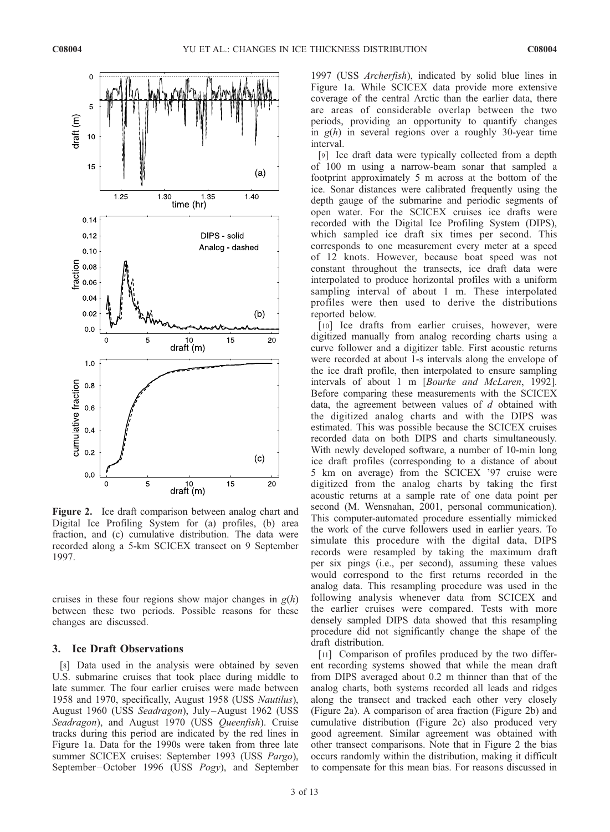

Figure 2. Ice draft comparison between analog chart and Digital Ice Profiling System for (a) profiles, (b) area fraction, and (c) cumulative distribution. The data were recorded along a 5-km SCICEX transect on 9 September 1997.

cruises in these four regions show major changes in  $g(h)$ between these two periods. Possible reasons for these changes are discussed.

# 3. Ice Draft Observations

[8] Data used in the analysis were obtained by seven U.S. submarine cruises that took place during middle to late summer. The four earlier cruises were made between 1958 and 1970, specifically, August 1958 (USS Nautilus), August 1960 (USS Seadragon), July-August 1962 (USS Seadragon), and August 1970 (USS Queenfish). Cruise tracks during this period are indicated by the red lines in Figure 1a. Data for the 1990s were taken from three late summer SCICEX cruises: September 1993 (USS Pargo), September-October 1996 (USS *Pogy*), and September 1997 (USS Archerfish), indicated by solid blue lines in Figure 1a. While SCICEX data provide more extensive coverage of the central Arctic than the earlier data, there are areas of considerable overlap between the two periods, providing an opportunity to quantify changes in  $g(h)$  in several regions over a roughly 30-year time interval.

[9] Ice draft data were typically collected from a depth of 100 m using a narrow-beam sonar that sampled a footprint approximately 5 m across at the bottom of the ice. Sonar distances were calibrated frequently using the depth gauge of the submarine and periodic segments of open water. For the SCICEX cruises ice drafts were recorded with the Digital Ice Profiling System (DIPS), which sampled ice draft six times per second. This corresponds to one measurement every meter at a speed of 12 knots. However, because boat speed was not constant throughout the transects, ice draft data were interpolated to produce horizontal profiles with a uniform sampling interval of about 1 m. These interpolated profiles were then used to derive the distributions reported below.

[10] Ice drafts from earlier cruises, however, were digitized manually from analog recording charts using a curve follower and a digitizer table. First acoustic returns were recorded at about 1-s intervals along the envelope of the ice draft profile, then interpolated to ensure sampling intervals of about 1 m [Bourke and McLaren, 1992]. Before comparing these measurements with the SCICEX data, the agreement between values of d obtained with the digitized analog charts and with the DIPS was estimated. This was possible because the SCICEX cruises recorded data on both DIPS and charts simultaneously. With newly developed software, a number of 10-min long ice draft profiles (corresponding to a distance of about 5 km on average) from the SCICEX '97 cruise were digitized from the analog charts by taking the first acoustic returns at a sample rate of one data point per second (M. Wensnahan, 2001, personal communication). This computer-automated procedure essentially mimicked the work of the curve followers used in earlier years. To simulate this procedure with the digital data, DIPS records were resampled by taking the maximum draft per six pings (i.e., per second), assuming these values would correspond to the first returns recorded in the analog data. This resampling procedure was used in the following analysis whenever data from SCICEX and the earlier cruises were compared. Tests with more densely sampled DIPS data showed that this resampling procedure did not significantly change the shape of the draft distribution.

[11] Comparison of profiles produced by the two different recording systems showed that while the mean draft from DIPS averaged about 0.2 m thinner than that of the analog charts, both systems recorded all leads and ridges along the transect and tracked each other very closely (Figure 2a). A comparison of area fraction (Figure 2b) and cumulative distribution (Figure 2c) also produced very good agreement. Similar agreement was obtained with other transect comparisons. Note that in Figure 2 the bias occurs randomly within the distribution, making it difficult to compensate for this mean bias. For reasons discussed in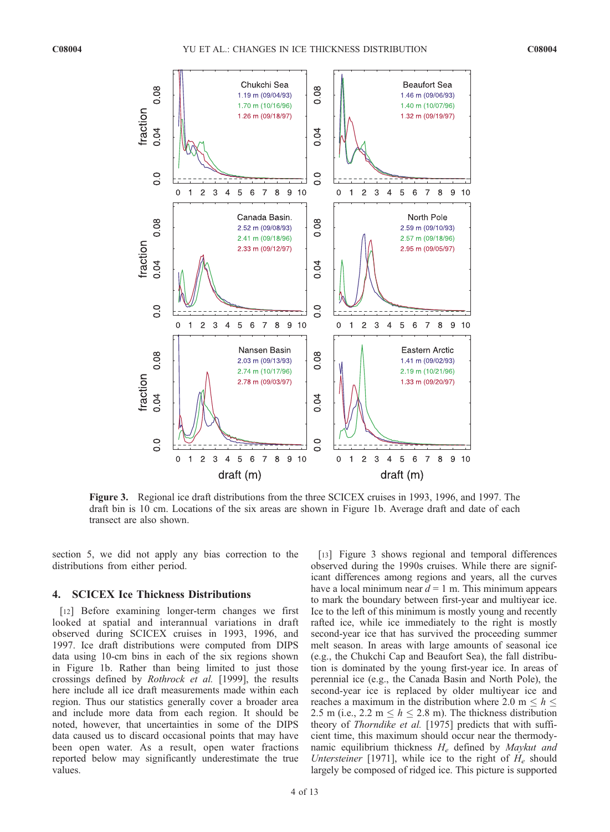

Figure 3. Regional ice draft distributions from the three SCICEX cruises in 1993, 1996, and 1997. The draft bin is 10 cm. Locations of the six areas are shown in Figure 1b. Average draft and date of each transect are also shown.

section 5, we did not apply any bias correction to the distributions from either period.

#### 4. SCICEX Ice Thickness Distributions

[12] Before examining longer-term changes we first looked at spatial and interannual variations in draft observed during SCICEX cruises in 1993, 1996, and 1997. Ice draft distributions were computed from DIPS data using 10-cm bins in each of the six regions shown in Figure 1b. Rather than being limited to just those crossings defined by Rothrock et al. [1999], the results here include all ice draft measurements made within each region. Thus our statistics generally cover a broader area and include more data from each region. It should be noted, however, that uncertainties in some of the DIPS data caused us to discard occasional points that may have been open water. As a result, open water fractions reported below may significantly underestimate the true values.

[13] Figure 3 shows regional and temporal differences observed during the 1990s cruises. While there are significant differences among regions and years, all the curves have a local minimum near  $d = 1$  m. This minimum appears to mark the boundary between first-year and multiyear ice. Ice to the left of this minimum is mostly young and recently rafted ice, while ice immediately to the right is mostly second-year ice that has survived the proceeding summer melt season. In areas with large amounts of seasonal ice (e.g., the Chukchi Cap and Beaufort Sea), the fall distribution is dominated by the young first-year ice. In areas of perennial ice (e.g., the Canada Basin and North Pole), the second-year ice is replaced by older multiyear ice and reaches a maximum in the distribution where 2.0 m  $\leq h \leq$ 2.5 m (i.e., 2.2 m  $\leq h \leq 2.8$  m). The thickness distribution theory of Thorndike et al. [1975] predicts that with sufficient time, this maximum should occur near the thermodynamic equilibrium thickness  $H_e$  defined by Maykut and Untersteiner [1971], while ice to the right of  $H_e$  should largely be composed of ridged ice. This picture is supported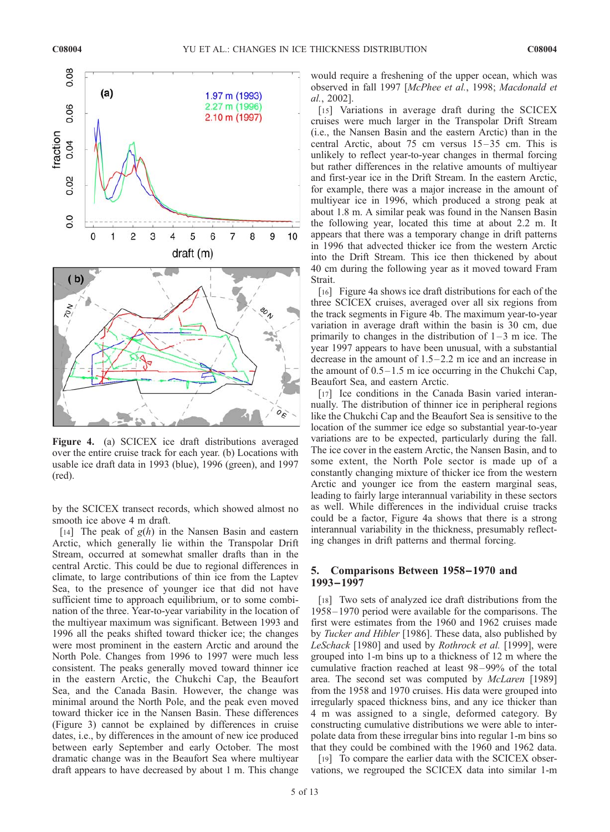

Figure 4. (a) SCICEX ice draft distributions averaged over the entire cruise track for each year. (b) Locations with usable ice draft data in 1993 (blue), 1996 (green), and 1997 (red).

by the SCICEX transect records, which showed almost no smooth ice above 4 m draft.

[14] The peak of  $g(h)$  in the Nansen Basin and eastern Arctic, which generally lie within the Transpolar Drift Stream, occurred at somewhat smaller drafts than in the central Arctic. This could be due to regional differences in climate, to large contributions of thin ice from the Laptev Sea, to the presence of younger ice that did not have sufficient time to approach equilibrium, or to some combination of the three. Year-to-year variability in the location of the multiyear maximum was significant. Between 1993 and 1996 all the peaks shifted toward thicker ice; the changes were most prominent in the eastern Arctic and around the North Pole. Changes from 1996 to 1997 were much less consistent. The peaks generally moved toward thinner ice in the eastern Arctic, the Chukchi Cap, the Beaufort Sea, and the Canada Basin. However, the change was minimal around the North Pole, and the peak even moved toward thicker ice in the Nansen Basin. These differences (Figure 3) cannot be explained by differences in cruise dates, i.e., by differences in the amount of new ice produced between early September and early October. The most dramatic change was in the Beaufort Sea where multiyear draft appears to have decreased by about 1 m. This change

would require a freshening of the upper ocean, which was observed in fall 1997 [McPhee et al., 1998; Macdonald et al., 2002].

[15] Variations in average draft during the SCICEX cruises were much larger in the Transpolar Drift Stream (i.e., the Nansen Basin and the eastern Arctic) than in the central Arctic, about  $75 \text{ cm}$  versus  $15-35 \text{ cm}$ . This is unlikely to reflect year-to-year changes in thermal forcing but rather differences in the relative amounts of multiyear and first-year ice in the Drift Stream. In the eastern Arctic, for example, there was a major increase in the amount of multiyear ice in 1996, which produced a strong peak at about 1.8 m. A similar peak was found in the Nansen Basin the following year, located this time at about 2.2 m. It appears that there was a temporary change in drift patterns in 1996 that advected thicker ice from the western Arctic into the Drift Stream. This ice then thickened by about 40 cm during the following year as it moved toward Fram Strait.

[16] Figure 4a shows ice draft distributions for each of the three SCICEX cruises, averaged over all six regions from the track segments in Figure 4b. The maximum year-to-year variation in average draft within the basin is 30 cm, due primarily to changes in the distribution of  $1-3$  m ice. The year 1997 appears to have been unusual, with a substantial decrease in the amount of  $1.5-2.2$  m ice and an increase in the amount of  $0.5-1.5$  m ice occurring in the Chukchi Cap, Beaufort Sea, and eastern Arctic.

[17] Ice conditions in the Canada Basin varied interannually. The distribution of thinner ice in peripheral regions like the Chukchi Cap and the Beaufort Sea is sensitive to the location of the summer ice edge so substantial year-to-year variations are to be expected, particularly during the fall. The ice cover in the eastern Arctic, the Nansen Basin, and to some extent, the North Pole sector is made up of a constantly changing mixture of thicker ice from the western Arctic and younger ice from the eastern marginal seas, leading to fairly large interannual variability in these sectors as well. While differences in the individual cruise tracks could be a factor, Figure 4a shows that there is a strong interannual variability in the thickness, presumably reflecting changes in drift patterns and thermal forcing.

## 5. Comparisons Between 1958–1970 and 1993–1997

[18] Two sets of analyzed ice draft distributions from the 1958– 1970 period were available for the comparisons. The first were estimates from the 1960 and 1962 cruises made by *Tucker and Hibler* [1986]. These data, also published by LeSchack [1980] and used by Rothrock et al. [1999], were grouped into 1-m bins up to a thickness of 12 m where the cumulative fraction reached at least 98– 99% of the total area. The second set was computed by *McLaren* [1989] from the 1958 and 1970 cruises. His data were grouped into irregularly spaced thickness bins, and any ice thicker than 4 m was assigned to a single, deformed category. By constructing cumulative distributions we were able to interpolate data from these irregular bins into regular 1-m bins so that they could be combined with the 1960 and 1962 data.

[19] To compare the earlier data with the SCICEX observations, we regrouped the SCICEX data into similar 1-m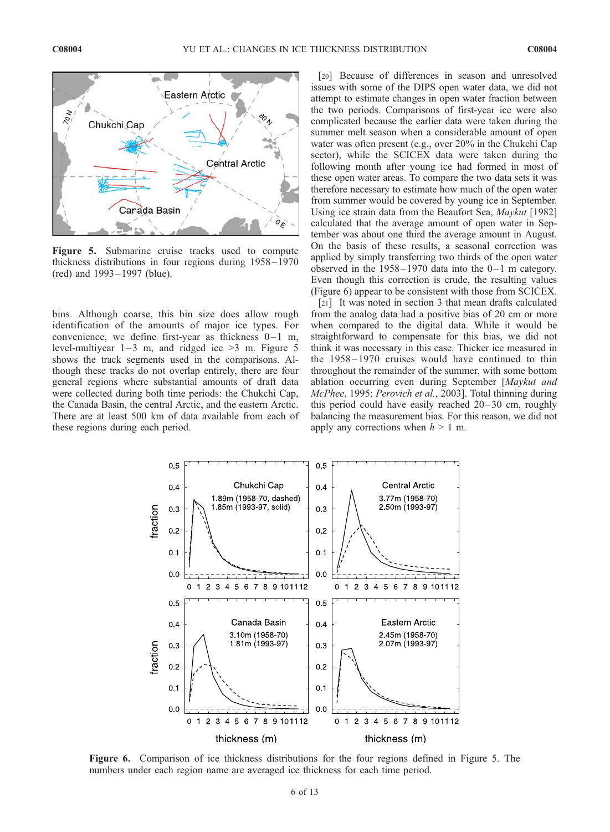

Figure 5. Submarine cruise tracks used to compute thickness distributions in four regions during 1958 – 1970 (red) and 1993 – 1997 (blue).

bins. Although coarse, this bin size does allow rough identification of the amounts of major ice types. For convenience, we define first-year as thickness  $0-1$  m, level-multiyear  $1-3$  m, and ridged ice  $>3$  m. Figure 5 shows the track segments used in the comparisons. Although these tracks do not overlap entirely, there are four general regions where substantial amounts of draft data were collected during both time periods: the Chukchi Cap, the Canada Basin, the central Arctic, and the eastern Arctic. There are at least 500 km of data available from each of these regions during each period.

[20] Because of differences in season and unresolved issues with some of the DIPS open water data, we did not attempt to estimate changes in open water fraction between the two periods. Comparisons of first-year ice were also complicated because the earlier data were taken during the summer melt season when a considerable amount of open water was often present (e.g., over 20% in the Chukchi Cap sector), while the SCICEX data were taken during the following month after young ice had formed in most of these open water areas. To compare the two data sets it was therefore necessary to estimate how much of the open water from summer would be covered by young ice in September. Using ice strain data from the Beaufort Sea, Maykut [1982] calculated that the average amount of open water in September was about one third the average amount in August. On the basis of these results, a seasonal correction was applied by simply transferring two thirds of the open water observed in the  $1958 - 1970$  data into the  $0 - 1$  m category. Even though this correction is crude, the resulting values (Figure 6) appear to be consistent with those from SCICEX.

[21] It was noted in section 3 that mean drafts calculated from the analog data had a positive bias of 20 cm or more when compared to the digital data. While it would be straightforward to compensate for this bias, we did not think it was necessary in this case. Thicker ice measured in the  $1958 - 1970$  cruises would have continued to thin throughout the remainder of the summer, with some bottom ablation occurring even during September [Maykut and McPhee, 1995; Perovich et al., 2003]. Total thinning during this period could have easily reached  $20-30$  cm, roughly balancing the measurement bias. For this reason, we did not apply any corrections when  $h > 1$  m.



Figure 6. Comparison of ice thickness distributions for the four regions defined in Figure 5. The numbers under each region name are averaged ice thickness for each time period.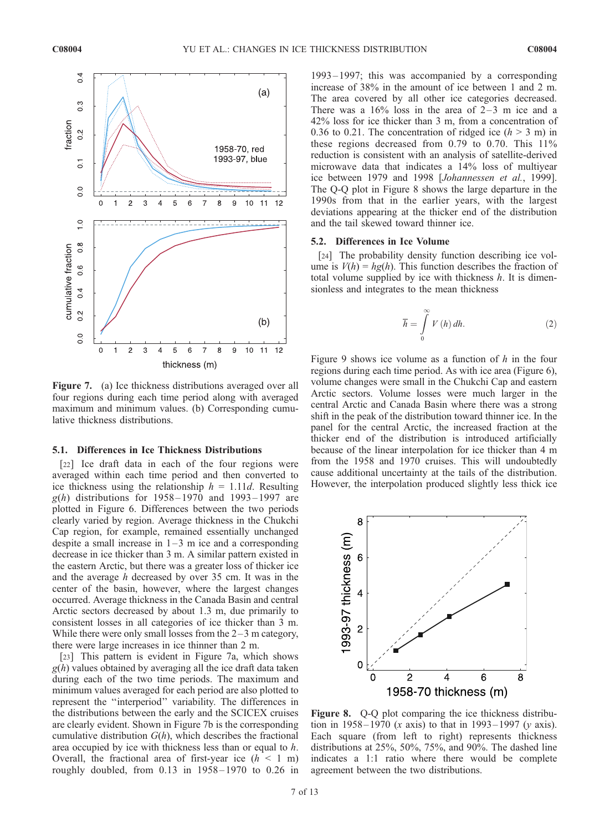

Figure 7. (a) Ice thickness distributions averaged over all four regions during each time period along with averaged maximum and minimum values. (b) Corresponding cumulative thickness distributions.

## 5.1. Differences in Ice Thickness Distributions

[22] Ice draft data in each of the four regions were averaged within each time period and then converted to ice thickness using the relationship  $h = 1.11d$ . Resulting  $g(h)$  distributions for 1958–1970 and 1993–1997 are plotted in Figure 6. Differences between the two periods clearly varied by region. Average thickness in the Chukchi Cap region, for example, remained essentially unchanged despite a small increase in  $1-3$  m ice and a corresponding decrease in ice thicker than 3 m. A similar pattern existed in the eastern Arctic, but there was a greater loss of thicker ice and the average h decreased by over 35 cm. It was in the center of the basin, however, where the largest changes occurred. Average thickness in the Canada Basin and central Arctic sectors decreased by about 1.3 m, due primarily to consistent losses in all categories of ice thicker than 3 m. While there were only small losses from the  $2-3$  m category, there were large increases in ice thinner than 2 m.

[23] This pattern is evident in Figure 7a, which shows  $g(h)$  values obtained by averaging all the ice draft data taken during each of the two time periods. The maximum and minimum values averaged for each period are also plotted to represent the ''interperiod'' variability. The differences in the distributions between the early and the SCICEX cruises are clearly evident. Shown in Figure 7b is the corresponding cumulative distribution  $G(h)$ , which describes the fractional area occupied by ice with thickness less than or equal to h. Overall, the fractional area of first-year ice  $(h < 1$  m) roughly doubled, from  $0.13$  in  $1958 - 1970$  to  $0.26$  in

1993 – 1997; this was accompanied by a corresponding increase of 38% in the amount of ice between 1 and 2 m. The area covered by all other ice categories decreased. There was a  $16\%$  loss in the area of 2-3 m ice and a 42% loss for ice thicker than 3 m, from a concentration of 0.36 to 0.21. The concentration of ridged ice  $(h > 3 \text{ m})$  in these regions decreased from 0.79 to 0.70. This 11% reduction is consistent with an analysis of satellite-derived microwave data that indicates a 14% loss of multiyear ice between 1979 and 1998 [Johannessen et al., 1999]. The Q-Q plot in Figure 8 shows the large departure in the 1990s from that in the earlier years, with the largest deviations appearing at the thicker end of the distribution and the tail skewed toward thinner ice.

#### 5.2. Differences in Ice Volume

[24] The probability density function describing ice volume is  $V(h) = hg(h)$ . This function describes the fraction of total volume supplied by ice with thickness  $h$ . It is dimensionless and integrates to the mean thickness

$$
\overline{h} = \int_{0}^{\infty} V(h) dh.
$$
 (2)

Figure 9 shows ice volume as a function of  $h$  in the four regions during each time period. As with ice area (Figure 6), volume changes were small in the Chukchi Cap and eastern Arctic sectors. Volume losses were much larger in the central Arctic and Canada Basin where there was a strong shift in the peak of the distribution toward thinner ice. In the panel for the central Arctic, the increased fraction at the thicker end of the distribution is introduced artificially because of the linear interpolation for ice thicker than 4 m from the 1958 and 1970 cruises. This will undoubtedly cause additional uncertainty at the tails of the distribution. However, the interpolation produced slightly less thick ice



Figure 8. Q-Q plot comparing the ice thickness distribution in 1958–1970 (x axis) to that in 1993–1997 (y axis). Each square (from left to right) represents thickness distributions at 25%, 50%, 75%, and 90%. The dashed line indicates a 1:1 ratio where there would be complete agreement between the two distributions.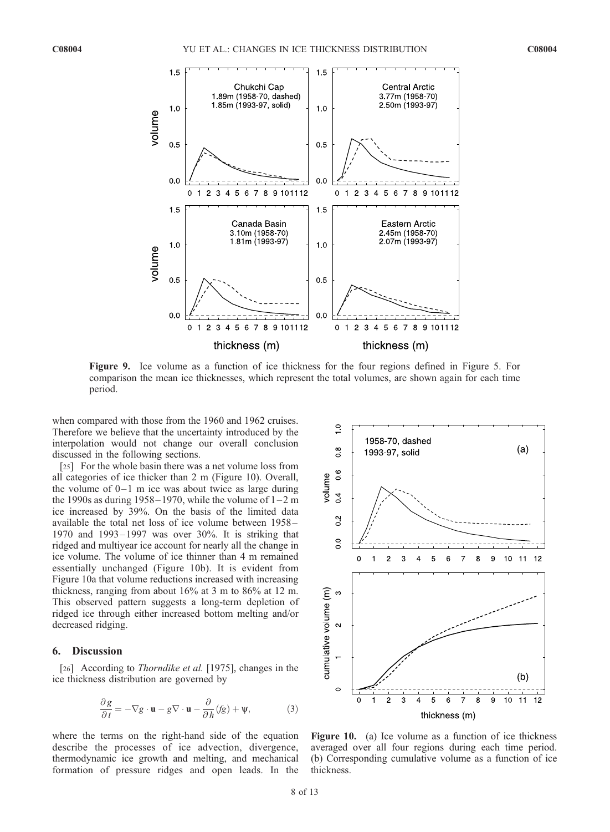

Figure 9. Ice volume as a function of ice thickness for the four regions defined in Figure 5. For comparison the mean ice thicknesses, which represent the total volumes, are shown again for each time period.

when compared with those from the 1960 and 1962 cruises. Therefore we believe that the uncertainty introduced by the interpolation would not change our overall conclusion discussed in the following sections.

[25] For the whole basin there was a net volume loss from all categories of ice thicker than 2 m (Figure 10). Overall, the volume of  $0 - 1$  m ice was about twice as large during the 1990s as during 1958–1970, while the volume of  $1-2$  m ice increased by 39%. On the basis of the limited data available the total net loss of ice volume between 1958 – 1970 and 1993– 1997 was over 30%. It is striking that ridged and multiyear ice account for nearly all the change in ice volume. The volume of ice thinner than 4 m remained essentially unchanged (Figure 10b). It is evident from Figure 10a that volume reductions increased with increasing thickness, ranging from about 16% at 3 m to 86% at 12 m. This observed pattern suggests a long-term depletion of ridged ice through either increased bottom melting and/or decreased ridging.

#### 6. Discussion

[26] According to *Thorndike et al.* [1975], changes in the ice thickness distribution are governed by

$$
\frac{\partial g}{\partial t} = -\nabla g \cdot \mathbf{u} - g \nabla \cdot \mathbf{u} - \frac{\partial}{\partial h}(fg) + \psi,
$$
 (3)

where the terms on the right-hand side of the equation describe the processes of ice advection, divergence, thermodynamic ice growth and melting, and mechanical formation of pressure ridges and open leads. In the



Figure 10. (a) Ice volume as a function of ice thickness averaged over all four regions during each time period. (b) Corresponding cumulative volume as a function of ice thickness.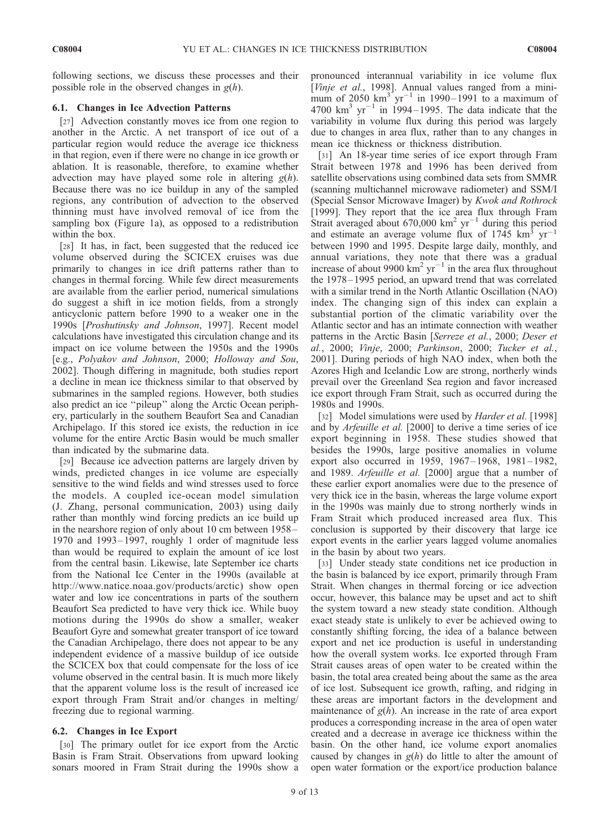following sections, we discuss these processes and their possible role in the observed changes in  $g(h)$ .

## 6.1. Changes in Ice Advection Patterns

[27] Advection constantly moves ice from one region to another in the Arctic. A net transport of ice out of a particular region would reduce the average ice thickness in that region, even if there were no change in ice growth or ablation. It is reasonable, therefore, to examine whether advection may have played some role in altering  $g(h)$ . Because there was no ice buildup in any of the sampled regions, any contribution of advection to the observed thinning must have involved removal of ice from the sampling box (Figure 1a), as opposed to a redistribution within the box.

[28] It has, in fact, been suggested that the reduced ice volume observed during the SCICEX cruises was due primarily to changes in ice drift patterns rather than to changes in thermal forcing. While few direct measurements are available from the earlier period, numerical simulations do suggest a shift in ice motion fields, from a strongly anticyclonic pattern before 1990 to a weaker one in the 1990s [Proshutinsky and Johnson, 1997]. Recent model calculations have investigated this circulation change and its impact on ice volume between the 1950s and the 1990s [e.g., Polyakov and Johnson, 2000; Holloway and Sou, 2002]. Though differing in magnitude, both studies report a decline in mean ice thickness similar to that observed by submarines in the sampled regions. However, both studies also predict an ice ''pileup'' along the Arctic Ocean periphery, particularly in the southern Beaufort Sea and Canadian Archipelago. If this stored ice exists, the reduction in ice volume for the entire Arctic Basin would be much smaller than indicated by the submarine data.

[29] Because ice advection patterns are largely driven by winds, predicted changes in ice volume are especially sensitive to the wind fields and wind stresses used to force the models. A coupled ice-ocean model simulation (J. Zhang, personal communication, 2003) using daily rather than monthly wind forcing predicts an ice build up in the nearshore region of only about 10 cm between 1958 – 1970 and 1993-1997, roughly 1 order of magnitude less than would be required to explain the amount of ice lost from the central basin. Likewise, late September ice charts from the National Ice Center in the 1990s (available at http://www.natice.noaa.gov/products/arctic) show open water and low ice concentrations in parts of the southern Beaufort Sea predicted to have very thick ice. While buoy motions during the 1990s do show a smaller, weaker Beaufort Gyre and somewhat greater transport of ice toward the Canadian Archipelago, there does not appear to be any independent evidence of a massive buildup of ice outside the SCICEX box that could compensate for the loss of ice volume observed in the central basin. It is much more likely that the apparent volume loss is the result of increased ice export through Fram Strait and/or changes in melting/ freezing due to regional warming.

#### 6.2. Changes in Ice Export

[30] The primary outlet for ice export from the Arctic Basin is Fram Strait. Observations from upward looking sonars moored in Fram Strait during the 1990s show a pronounced interannual variability in ice volume flux [Vinje et al., 1998]. Annual values ranged from a minimum of  $2050 \text{ km}^3 \text{ yr}^{-1}$  in 1990–1991 to a maximum of 4700  $km^3$  yr<sup>-1</sup> in 1994–1995. The data indicate that the variability in volume flux during this period was largely due to changes in area flux, rather than to any changes in mean ice thickness or thickness distribution.

[31] An 18-year time series of ice export through Fram Strait between 1978 and 1996 has been derived from satellite observations using combined data sets from SMMR (scanning multichannel microwave radiometer) and SSM/I (Special Sensor Microwave Imager) by Kwok and Rothrock [1999]. They report that the ice area flux through Fram Strait averaged about 670,000  $km^2$  yr<sup>-1</sup> during this period and estimate an average volume flux of  $1745 \text{ km}^3 \text{ yr}^{-1}$ between 1990 and 1995. Despite large daily, monthly, and annual variations, they note that there was a gradual increase of about 9900  $\text{km}^2$  yr<sup>-1</sup> in the area flux throughout the 1978– 1995 period, an upward trend that was correlated with a similar trend in the North Atlantic Oscillation (NAO) index. The changing sign of this index can explain a substantial portion of the climatic variability over the Atlantic sector and has an intimate connection with weather patterns in the Arctic Basin [Serreze et al., 2000; Deser et al., 2000; Vinje, 2000; Parkinson, 2000; Tucker et al., 2001]. During periods of high NAO index, when both the Azores High and Icelandic Low are strong, northerly winds prevail over the Greenland Sea region and favor increased ice export through Fram Strait, such as occurred during the 1980s and 1990s.

[32] Model simulations were used by *Harder et al.* [1998] and by Arfeuille et al. [2000] to derive a time series of ice export beginning in 1958. These studies showed that besides the 1990s, large positive anomalies in volume export also occurred in 1959, 1967-1968, 1981-1982, and 1989. Arfeuille et al. [2000] argue that a number of these earlier export anomalies were due to the presence of very thick ice in the basin, whereas the large volume export in the 1990s was mainly due to strong northerly winds in Fram Strait which produced increased area flux. This conclusion is supported by their discovery that large ice export events in the earlier years lagged volume anomalies in the basin by about two years.

[33] Under steady state conditions net ice production in the basin is balanced by ice export, primarily through Fram Strait. When changes in thermal forcing or ice advection occur, however, this balance may be upset and act to shift the system toward a new steady state condition. Although exact steady state is unlikely to ever be achieved owing to constantly shifting forcing, the idea of a balance between export and net ice production is useful in understanding how the overall system works. Ice exported through Fram Strait causes areas of open water to be created within the basin, the total area created being about the same as the area of ice lost. Subsequent ice growth, rafting, and ridging in these areas are important factors in the development and maintenance of  $g(h)$ . An increase in the rate of area export produces a corresponding increase in the area of open water created and a decrease in average ice thickness within the basin. On the other hand, ice volume export anomalies caused by changes in  $g(h)$  do little to alter the amount of open water formation or the export/ice production balance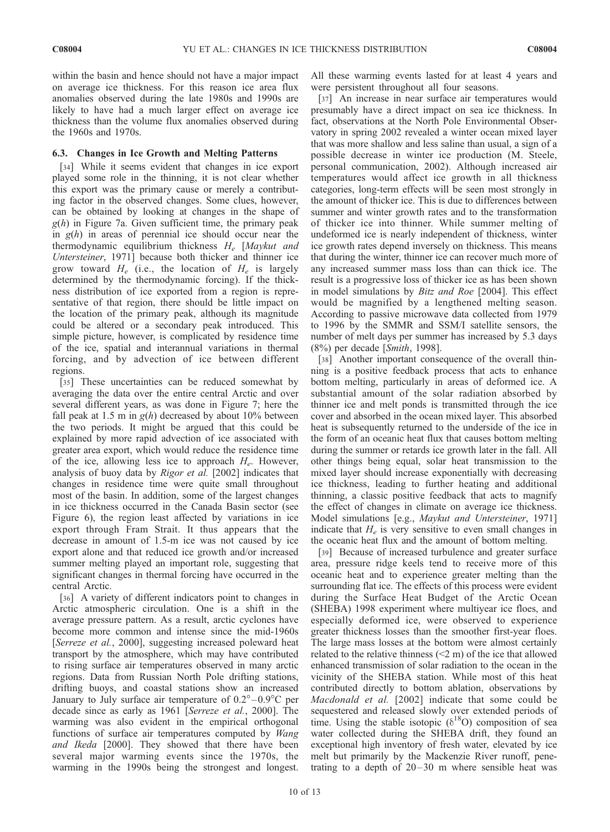within the basin and hence should not have a major impact on average ice thickness. For this reason ice area flux anomalies observed during the late 1980s and 1990s are likely to have had a much larger effect on average ice thickness than the volume flux anomalies observed during the 1960s and 1970s.

#### 6.3. Changes in Ice Growth and Melting Patterns

[34] While it seems evident that changes in ice export played some role in the thinning, it is not clear whether this export was the primary cause or merely a contributing factor in the observed changes. Some clues, however, can be obtained by looking at changes in the shape of  $g(h)$  in Figure 7a. Given sufficient time, the primary peak in  $g(h)$  in areas of perennial ice should occur near the thermodynamic equilibrium thickness  $H_e$  [Maykut and Untersteiner, 1971] because both thicker and thinner ice grow toward  $H_e$  (i.e., the location of  $H_e$  is largely determined by the thermodynamic forcing). If the thickness distribution of ice exported from a region is representative of that region, there should be little impact on the location of the primary peak, although its magnitude could be altered or a secondary peak introduced. This simple picture, however, is complicated by residence time of the ice, spatial and interannual variations in thermal forcing, and by advection of ice between different regions.

[35] These uncertainties can be reduced somewhat by averaging the data over the entire central Arctic and over several different years, as was done in Figure 7; here the fall peak at 1.5 m in  $g(h)$  decreased by about 10% between the two periods. It might be argued that this could be explained by more rapid advection of ice associated with greater area export, which would reduce the residence time of the ice, allowing less ice to approach  $H_e$ . However, analysis of buoy data by Rigor et al. [2002] indicates that changes in residence time were quite small throughout most of the basin. In addition, some of the largest changes in ice thickness occurred in the Canada Basin sector (see Figure 6), the region least affected by variations in ice export through Fram Strait. It thus appears that the decrease in amount of 1.5-m ice was not caused by ice export alone and that reduced ice growth and/or increased summer melting played an important role, suggesting that significant changes in thermal forcing have occurred in the central Arctic.

[36] A variety of different indicators point to changes in Arctic atmospheric circulation. One is a shift in the average pressure pattern. As a result, arctic cyclones have become more common and intense since the mid-1960s [Serreze et al., 2000], suggesting increased poleward heat transport by the atmosphere, which may have contributed to rising surface air temperatures observed in many arctic regions. Data from Russian North Pole drifting stations, drifting buoys, and coastal stations show an increased January to July surface air temperature of  $0.2^{\circ} - 0.9^{\circ}$ C per decade since as early as 1961 [Serreze et al., 2000]. The warming was also evident in the empirical orthogonal functions of surface air temperatures computed by Wang and Ikeda [2000]. They showed that there have been several major warming events since the 1970s, the warming in the 1990s being the strongest and longest.

All these warming events lasted for at least 4 years and were persistent throughout all four seasons.

[37] An increase in near surface air temperatures would presumably have a direct impact on sea ice thickness. In fact, observations at the North Pole Environmental Observatory in spring 2002 revealed a winter ocean mixed layer that was more shallow and less saline than usual, a sign of a possible decrease in winter ice production (M. Steele, personal communication, 2002). Although increased air temperatures would affect ice growth in all thickness categories, long-term effects will be seen most strongly in the amount of thicker ice. This is due to differences between summer and winter growth rates and to the transformation of thicker ice into thinner. While summer melting of undeformed ice is nearly independent of thickness, winter ice growth rates depend inversely on thickness. This means that during the winter, thinner ice can recover much more of any increased summer mass loss than can thick ice. The result is a progressive loss of thicker ice as has been shown in model simulations by Bitz and Roe [2004]. This effect would be magnified by a lengthened melting season. According to passive microwave data collected from 1979 to 1996 by the SMMR and SSM/I satellite sensors, the number of melt days per summer has increased by 5.3 days (8%) per decade [Smith, 1998].

[38] Another important consequence of the overall thinning is a positive feedback process that acts to enhance bottom melting, particularly in areas of deformed ice. A substantial amount of the solar radiation absorbed by thinner ice and melt ponds is transmitted through the ice cover and absorbed in the ocean mixed layer. This absorbed heat is subsequently returned to the underside of the ice in the form of an oceanic heat flux that causes bottom melting during the summer or retards ice growth later in the fall. All other things being equal, solar heat transmission to the mixed layer should increase exponentially with decreasing ice thickness, leading to further heating and additional thinning, a classic positive feedback that acts to magnify the effect of changes in climate on average ice thickness. Model simulations [e.g., *Maykut and Untersteiner*, 1971] indicate that  $H_e$  is very sensitive to even small changes in the oceanic heat flux and the amount of bottom melting.

[39] Because of increased turbulence and greater surface area, pressure ridge keels tend to receive more of this oceanic heat and to experience greater melting than the surrounding flat ice. The effects of this process were evident during the Surface Heat Budget of the Arctic Ocean (SHEBA) 1998 experiment where multiyear ice floes, and especially deformed ice, were observed to experience greater thickness losses than the smoother first-year floes. The large mass losses at the bottom were almost certainly related to the relative thinness  $(< 2 \, \text{m})$  of the ice that allowed enhanced transmission of solar radiation to the ocean in the vicinity of the SHEBA station. While most of this heat contributed directly to bottom ablation, observations by Macdonald et al. [2002] indicate that some could be sequestered and released slowly over extended periods of time. Using the stable isotopic  $(\delta^{18}O)$  composition of sea water collected during the SHEBA drift, they found an exceptional high inventory of fresh water, elevated by ice melt but primarily by the Mackenzie River runoff, penetrating to a depth of  $20-30$  m where sensible heat was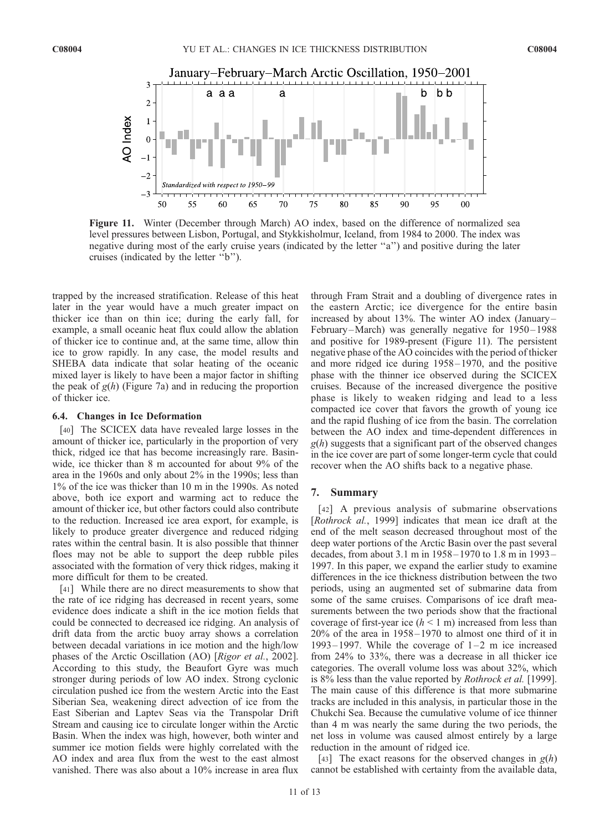

Figure 11. Winter (December through March) AO index, based on the difference of normalized sea level pressures between Lisbon, Portugal, and Stykkisholmur, Iceland, from 1984 to 2000. The index was negative during most of the early cruise years (indicated by the letter ''a'') and positive during the later cruises (indicated by the letter ''b'').

trapped by the increased stratification. Release of this heat later in the year would have a much greater impact on thicker ice than on thin ice; during the early fall, for example, a small oceanic heat flux could allow the ablation of thicker ice to continue and, at the same time, allow thin ice to grow rapidly. In any case, the model results and SHEBA data indicate that solar heating of the oceanic mixed layer is likely to have been a major factor in shifting the peak of  $g(h)$  (Figure 7a) and in reducing the proportion of thicker ice.

#### 6.4. Changes in Ice Deformation

[40] The SCICEX data have revealed large losses in the amount of thicker ice, particularly in the proportion of very thick, ridged ice that has become increasingly rare. Basinwide, ice thicker than 8 m accounted for about 9% of the area in the 1960s and only about 2% in the 1990s; less than 1% of the ice was thicker than 10 m in the 1990s. As noted above, both ice export and warming act to reduce the amount of thicker ice, but other factors could also contribute to the reduction. Increased ice area export, for example, is likely to produce greater divergence and reduced ridging rates within the central basin. It is also possible that thinner floes may not be able to support the deep rubble piles associated with the formation of very thick ridges, making it more difficult for them to be created.

[41] While there are no direct measurements to show that the rate of ice ridging has decreased in recent years, some evidence does indicate a shift in the ice motion fields that could be connected to decreased ice ridging. An analysis of drift data from the arctic buoy array shows a correlation between decadal variations in ice motion and the high/low phases of the Arctic Oscillation (AO) [Rigor et al., 2002]. According to this study, the Beaufort Gyre was much stronger during periods of low AO index. Strong cyclonic circulation pushed ice from the western Arctic into the East Siberian Sea, weakening direct advection of ice from the East Siberian and Laptev Seas via the Transpolar Drift Stream and causing ice to circulate longer within the Arctic Basin. When the index was high, however, both winter and summer ice motion fields were highly correlated with the AO index and area flux from the west to the east almost vanished. There was also about a 10% increase in area flux

through Fram Strait and a doubling of divergence rates in the eastern Arctic; ice divergence for the entire basin increased by about 13%. The winter AO index (January – February-March) was generally negative for 1950-1988 and positive for 1989-present (Figure 11). The persistent negative phase of the AO coincides with the period of thicker and more ridged ice during 1958 – 1970, and the positive phase with the thinner ice observed during the SCICEX cruises. Because of the increased divergence the positive phase is likely to weaken ridging and lead to a less compacted ice cover that favors the growth of young ice and the rapid flushing of ice from the basin. The correlation between the AO index and time-dependent differences in  $g(h)$  suggests that a significant part of the observed changes in the ice cover are part of some longer-term cycle that could recover when the AO shifts back to a negative phase.

#### 7. Summary

[42] A previous analysis of submarine observations [Rothrock al., 1999] indicates that mean ice draft at the end of the melt season decreased throughout most of the deep water portions of the Arctic Basin over the past several decades, from about 3.1 m in 1958 – 1970 to 1.8 m in 1993– 1997. In this paper, we expand the earlier study to examine differences in the ice thickness distribution between the two periods, using an augmented set of submarine data from some of the same cruises. Comparisons of ice draft measurements between the two periods show that the fractional coverage of first-year ice  $(h < 1 \text{ m})$  increased from less than  $20\%$  of the area in  $1958 - 1970$  to almost one third of it in 1993–1997. While the coverage of  $1-2$  m ice increased from 24% to 33%, there was a decrease in all thicker ice categories. The overall volume loss was about 32%, which is 8% less than the value reported by *Rothrock et al.* [1999]. The main cause of this difference is that more submarine tracks are included in this analysis, in particular those in the Chukchi Sea. Because the cumulative volume of ice thinner than 4 m was nearly the same during the two periods, the net loss in volume was caused almost entirely by a large reduction in the amount of ridged ice.

[43] The exact reasons for the observed changes in  $g(h)$ cannot be established with certainty from the available data,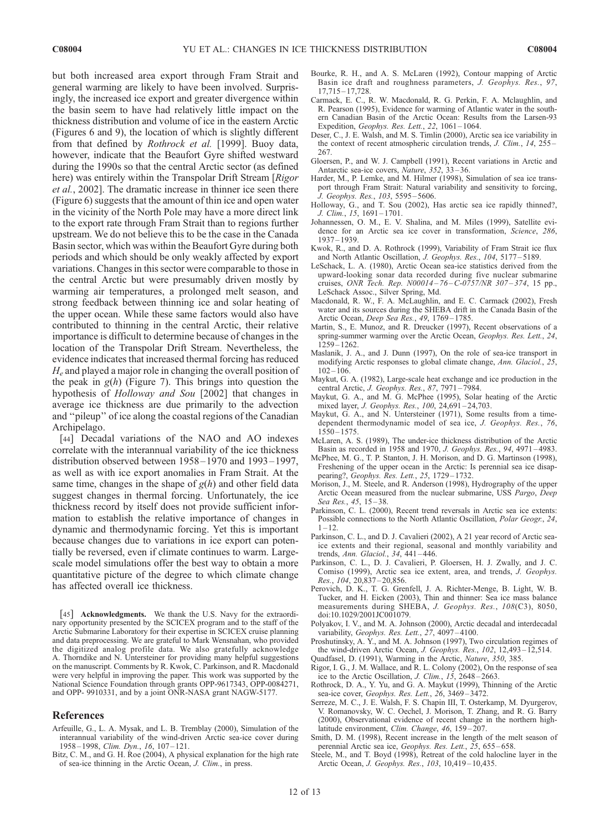but both increased area export through Fram Strait and general warming are likely to have been involved. Surprisingly, the increased ice export and greater divergence within the basin seem to have had relatively little impact on the thickness distribution and volume of ice in the eastern Arctic (Figures 6 and 9), the location of which is slightly different from that defined by Rothrock et al. [1999]. Buoy data, however, indicate that the Beaufort Gyre shifted westward during the 1990s so that the central Arctic sector (as defined here) was entirely within the Transpolar Drift Stream [Rigor] et al., 2002]. The dramatic increase in thinner ice seen there (Figure 6) suggests that the amount of thin ice and open water in the vicinity of the North Pole may have a more direct link to the export rate through Fram Strait than to regions further upstream. We do not believe this to be the case in the Canada Basin sector, which was within the Beaufort Gyre during both periods and which should be only weakly affected by export variations. Changes in this sector were comparable to those in the central Arctic but were presumably driven mostly by warming air temperatures, a prolonged melt season, and strong feedback between thinning ice and solar heating of the upper ocean. While these same factors would also have contributed to thinning in the central Arctic, their relative importance is difficult to determine because of changes in the location of the Transpolar Drift Stream. Nevertheless, the evidence indicates that increased thermal forcing has reduced  $H_e$  and played a major role in changing the overall position of the peak in  $g(h)$  (Figure 7). This brings into question the hypothesis of Holloway and Sou [2002] that changes in average ice thickness are due primarily to the advection and ''pileup'' of ice along the coastal regions of the Canadian Archipelago.

[44] Decadal variations of the NAO and AO indexes correlate with the interannual variability of the ice thickness distribution observed between 1958 –1970 and 1993 –1997, as well as with ice export anomalies in Fram Strait. At the same time, changes in the shape of  $g(h)$  and other field data suggest changes in thermal forcing. Unfortunately, the ice thickness record by itself does not provide sufficient information to establish the relative importance of changes in dynamic and thermodynamic forcing. Yet this is important because changes due to variations in ice export can potentially be reversed, even if climate continues to warm. Largescale model simulations offer the best way to obtain a more quantitative picture of the degree to which climate change has affected overall ice thickness.

[45] Acknowledgments. We thank the U.S. Navy for the extraordinary opportunity presented by the SCICEX program and to the staff of the Arctic Submarine Laboratory for their expertise in SCICEX cruise planning and data preprocessing. We are grateful to Mark Wensnahan, who provided the digitized analog profile data. We also gratefully acknowledge A. Thorndike and N. Untersteiner for providing many helpful suggestions on the manuscript. Comments by R. Kwok, C. Parkinson, and R. Macdonald were very helpful in improving the paper. This work was supported by the National Science Foundation through grants OPP-9617343, OPP-0084271, and OPP- 9910331, and by a joint ONR-NASA grant NAGW-5177.

#### References

- Arfeuille, G., L. A. Mysak, and L. B. Tremblay (2000), Simulation of the interannual variability of the wind-driven Arctic sea-ice cover during 1958 – 1998, Clim. Dyn., 16, 107 – 121.
- Bitz, C. M., and G. H. Roe (2004), A physical explanation for the high rate of sea-ice thinning in the Arctic Ocean, J. Clim., in press.
- Bourke, R. H., and A. S. McLaren (1992), Contour mapping of Arctic Basin ice draft and roughness parameters, J. Geophys. Res., 97, 17,715 – 17,728.
- Carmack, E. C., R. W. Macdonald, R. G. Perkin, F. A. Mclaughlin, and R. Pearson (1995), Evidence for warming of Atlantic water in the southern Canadian Basin of the Arctic Ocean: Results from the Larsen-93 Expedition, Geophys. Res. Lett., 22, 1061-1064.
- Deser, C., J. E. Walsh, and M. S. Timlin (2000), Arctic sea ice variability in the context of recent atmospheric circulation trends, J. Clim., 14, 255-267.
- Gloersen, P., and W. J. Campbell (1991), Recent variations in Arctic and Antarctic sea-ice covers, Nature, 352, 33-36.
- Harder, M., P. Lemke, and M. Hilmer (1998), Simulation of sea ice transport through Fram Strait: Natural variability and sensitivity to forcing, J. Geophys. Res., 103, 5595 – 5606.
- Holloway, G., and T. Sou (2002), Has arctic sea ice rapidly thinned?, J. Clim., 15, 1691-1701.
- Johannessen, O. M., E. V. Shalina, and M. Miles (1999), Satellite evidence for an Arctic sea ice cover in transformation, Science, 286, 1937 – 1939.
- Kwok, R., and D. A. Rothrock (1999), Variability of Fram Strait ice flux and North Atlantic Oscillation, J. Geophys. Res., 104, 5177 – 5189.
- LeSchack, L. A. (1980), Arctic Ocean sea-ice statistics derived from the upward-looking sonar data recorded during five nuclear submarine cruises, ONR Tech. Rep. N00014 – 76 –C-0757/NR 307 – 374, 15 pp., LeSchack Assoc., Silver Spring, Md.
- Macdonald, R. W., F. A. McLaughlin, and E. C. Carmack (2002), Fresh water and its sources during the SHEBA drift in the Canada Basin of the Arctic Ocean, Deep Sea Res., 49, 1769-1785.
- Martin, S., E. Munoz, and R. Dreucker (1997), Recent observations of a spring-summer warming over the Arctic Ocean, Geophys. Res. Lett., 24, 1259 – 1262.
- Maslanik, J. A., and J. Dunn (1997), On the role of sea-ice transport in modifying Arctic responses to global climate change, Ann. Glaciol., 25,  $102 - 106$
- Maykut, G. A. (1982), Large-scale heat exchange and ice production in the central Arctic, J. Geophys. Res., 87, 7971 – 7984.
- Maykut, G. A., and M. G. McPhee (1995), Solar heating of the Arctic mixed layer, *J. Geophys. Res.*, 100, 24,691-24,703.
- Maykut, G. A., and N. Untersteiner (1971), Some results from a timedependent thermodynamic model of sea ice, J. Geophys. Res., 76, 1550 – 1575.
- McLaren, A. S. (1989), The under-ice thickness distribution of the Arctic Basin as recorded in 1958 and 1970, J. Geophys. Res., 94, 4971 – 4983.
- McPhee, M. G., T. P. Stanton, J. H. Morison, and D. G. Martinson (1998), Freshening of the upper ocean in the Arctic: Is perennial sea ice disappearing?, Geophys. Res. Lett., 25, 1729-1732.
- Morison, J., M. Steele, and R. Anderson (1998), Hydrography of the upper Arctic Ocean measured from the nuclear submarine, USS Pargo, Deep Sea Res., 45, 15-38.
- Parkinson, C. L. (2000), Recent trend reversals in Arctic sea ice extents: Possible connections to the North Atlantic Oscillation, Polar Geogr., 24,  $1 - 12.$
- Parkinson, C. L., and D. J. Cavalieri (2002), A 21 year record of Arctic seaice extents and their regional, seasonal and monthly variability and trends, Ann. Glaciol., 34, 441 – 446.
- Parkinson, C. L., D. J. Cavalieri, P. Gloersen, H. J. Zwally, and J. C. Comiso (1999), Arctic sea ice extent, area, and trends, J. Geophys. Res., 104, 20,837-20,856.
- Perovich, D. K., T. G. Grenfell, J. A. Richter-Menge, B. Light, W. B. Tucker, and H. Eicken (2003), Thin and thinner: Sea ice mass balance measurements during SHEBA, J. Geophys. Res., 108(C3), 8050, doi:10.1029/2001JC001079.
- Polyakov, I. V., and M. A. Johnson (2000), Arctic decadal and interdecadal variability, Geophys. Res. Lett., 27, 4097-4100.
- Proshutinsky, A. Y., and M. A. Johnson (1997), Two circulation regimes of the wind-driven Arctic Ocean, J. Geophys. Res., 102, 12,493-12,514.
- Quadfasel, D. (1991), Warming in the Arctic, Nature, 350, 385.
- Rigor, I. G., J. M. Wallace, and R. L. Colony (2002), On the response of sea ice to the Arctic Oscillation, J. Clim.,  $15$ , 2648-2663.
- Rothrock, D. A., Y. Yu, and G. A. Maykut (1999), Thinning of the Arctic sea-ice cover, Geophys. Res. Lett., 26, 3469-3472.
- Serreze, M. C., J. E. Walsh, F. S. Chapin III, T. Osterkamp, M. Dyurgerov, V. Romanovsky, W. C. Oechel, J. Morison, T. Zhang, and R. G. Barry (2000), Observational evidence of recent change in the northern highlatitude environment, Clim. Change, 46, 159-207.
- Smith, D. M. (1998), Recent increase in the length of the melt season of perennial Arctic sea ice, Geophys. Res. Lett., 25, 655 – 658.
- Steele, M., and T. Boyd (1998), Retreat of the cold halocline layer in the Arctic Ocean, J. Geophys. Res., 103, 10,419-10,435.